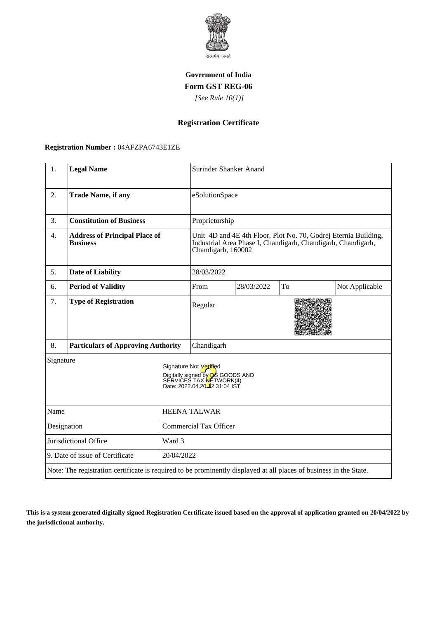

### **Government of India Form GST REG-06**

 *[See Rule 10(1)]*

# **Registration Certificate**

#### **Registration Number :** 04AFZPA6743E1ZE

| 1.                                                                                                                 | <b>Legal Name</b>                                       |                               | Surinder Shanker Anand                                                                                                                                |            |    |                |
|--------------------------------------------------------------------------------------------------------------------|---------------------------------------------------------|-------------------------------|-------------------------------------------------------------------------------------------------------------------------------------------------------|------------|----|----------------|
| 2.                                                                                                                 | <b>Trade Name, if any</b>                               |                               | eSolutionSpace                                                                                                                                        |            |    |                |
| 3.                                                                                                                 | <b>Constitution of Business</b>                         |                               | Proprietorship                                                                                                                                        |            |    |                |
| 4.                                                                                                                 | <b>Address of Principal Place of</b><br><b>Business</b> |                               | Unit 4D and 4E 4th Floor, Plot No. 70, Godrej Eternia Building,<br>Industrial Area Phase I, Chandigarh, Chandigarh, Chandigarh,<br>Chandigarh, 160002 |            |    |                |
| 5.                                                                                                                 | <b>Date of Liability</b>                                |                               | 28/03/2022                                                                                                                                            |            |    |                |
| 6.                                                                                                                 | <b>Period of Validity</b>                               |                               | From                                                                                                                                                  | 28/03/2022 | To | Not Applicable |
| 7.                                                                                                                 | <b>Type of Registration</b>                             |                               | Regular                                                                                                                                               |            |    |                |
| 8.                                                                                                                 | <b>Particulars of Approving Authority</b>               |                               | Chandigarh                                                                                                                                            |            |    |                |
| Signature                                                                                                          |                                                         |                               | Signature Not Verified<br>Digitally signed by DS GOODS AND<br>SERVICES TAX <b>NE</b> TWORK(4)<br>Date: 2022.04.20 <sup>1</sup> 2:31:04 IST            |            |    |                |
| Name                                                                                                               |                                                         | <b>HEENA TALWAR</b>           |                                                                                                                                                       |            |    |                |
| Designation                                                                                                        |                                                         | <b>Commercial Tax Officer</b> |                                                                                                                                                       |            |    |                |
| Jurisdictional Office<br>Ward 3                                                                                    |                                                         |                               |                                                                                                                                                       |            |    |                |
| 9. Date of issue of Certificate<br>20/04/2022                                                                      |                                                         |                               |                                                                                                                                                       |            |    |                |
| Note: The registration certificate is required to be prominently displayed at all places of business in the State. |                                                         |                               |                                                                                                                                                       |            |    |                |

**This is a system generated digitally signed Registration Certificate issued based on the approval of application granted on 20/04/2022 by the jurisdictional authority.**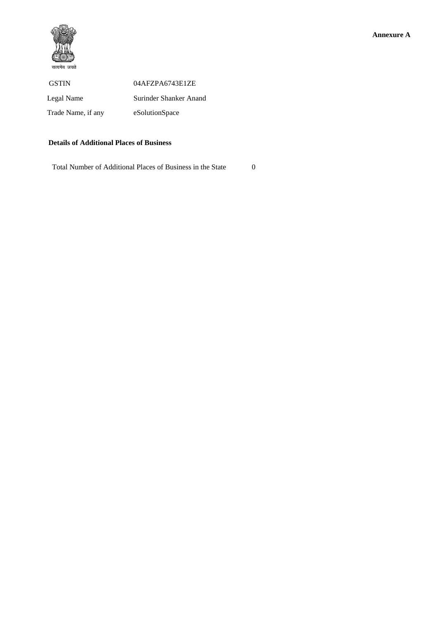

#### **Details of Additional Places of Business**

Total Number of Additional Places of Business in the State 0